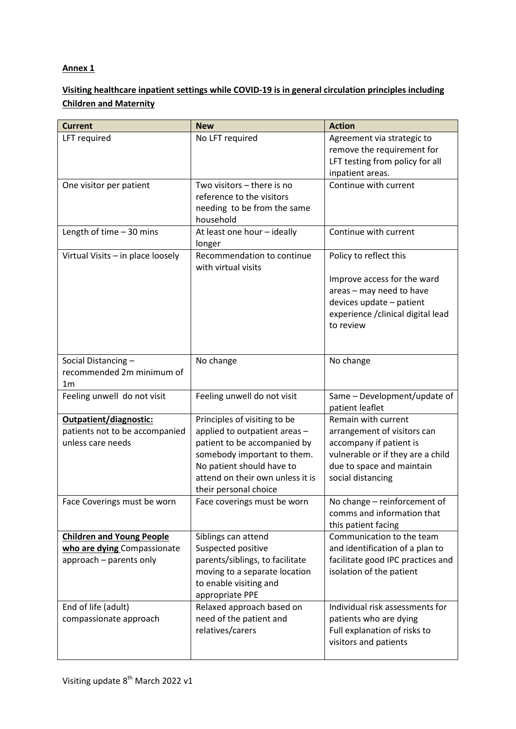## **Annex 1**

## **Visiting healthcare inpatient settings while COVID-19 is in general circulation principles including Children and Maternity**

| <b>Current</b>                    | <b>New</b>                                               | <b>Action</b>                                                  |
|-----------------------------------|----------------------------------------------------------|----------------------------------------------------------------|
| LFT required                      | No LFT required                                          | Agreement via strategic to<br>remove the requirement for       |
|                                   |                                                          | LFT testing from policy for all                                |
|                                   |                                                          | inpatient areas.                                               |
| One visitor per patient           | Two visitors - there is no                               | Continue with current                                          |
|                                   | reference to the visitors                                |                                                                |
|                                   | needing to be from the same<br>household                 |                                                                |
| Length of time $-30$ mins         | At least one hour - ideally<br>longer                    | Continue with current                                          |
| Virtual Visits - in place loosely | Recommendation to continue<br>with virtual visits        | Policy to reflect this                                         |
|                                   |                                                          | Improve access for the ward                                    |
|                                   |                                                          | areas - may need to have                                       |
|                                   |                                                          | devices update - patient                                       |
|                                   |                                                          | experience / clinical digital lead<br>to review                |
|                                   |                                                          |                                                                |
|                                   |                                                          |                                                                |
| Social Distancing-                | No change                                                | No change                                                      |
| recommended 2m minimum of         |                                                          |                                                                |
| 1m                                |                                                          |                                                                |
| Feeling unwell do not visit       | Feeling unwell do not visit                              | Same - Development/update of<br>patient leaflet                |
| Outpatient/diagnostic:            | Principles of visiting to be                             | Remain with current                                            |
| patients not to be accompanied    | applied to outpatient areas -                            | arrangement of visitors can                                    |
| unless care needs                 | patient to be accompanied by                             | accompany if patient is                                        |
|                                   | somebody important to them.<br>No patient should have to | vulnerable or if they are a child<br>due to space and maintain |
|                                   | attend on their own unless it is                         | social distancing                                              |
|                                   | their personal choice                                    |                                                                |
| Face Coverings must be worn       | Face coverings must be worn                              | No change - reinforcement of                                   |
|                                   |                                                          | comms and information that                                     |
|                                   |                                                          | this patient facing                                            |
| <b>Children and Young People</b>  | Siblings can attend                                      | Communication to the team                                      |
| who are dying Compassionate       | Suspected positive                                       | and identification of a plan to                                |
| approach - parents only           | parents/siblings, to facilitate                          | facilitate good IPC practices and                              |
|                                   | moving to a separate location<br>to enable visiting and  | isolation of the patient                                       |
|                                   | appropriate PPE                                          |                                                                |
| End of life (adult)               | Relaxed approach based on                                | Individual risk assessments for                                |
| compassionate approach            | need of the patient and                                  | patients who are dying                                         |
|                                   | relatives/carers                                         | Full explanation of risks to                                   |
|                                   |                                                          | visitors and patients                                          |
|                                   |                                                          |                                                                |